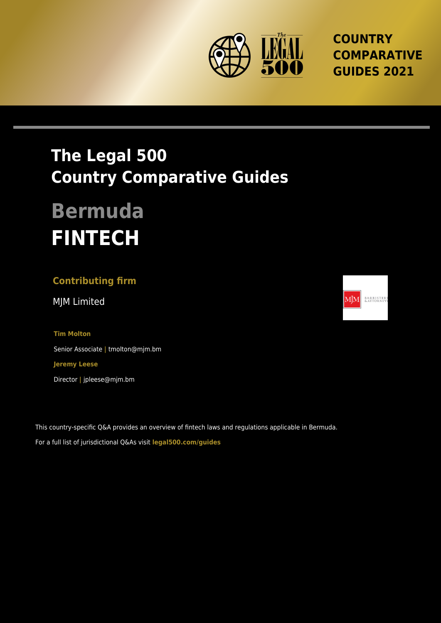

**COUNTRY COMPARATIVE GUIDES 2021**

# **The Legal 500 Country Comparative Guides**

# **Bermuda FINTECH**

## **Contributing firm**

MJM Limited

**Tim Molton** Senior Associate **|** tmolton@mjm.bm **Jeremy Leese** Director **|** jpleese@mjm.bm

This country-specific Q&A provides an overview of fintech laws and regulations applicable in Bermuda. For a full list of jurisdictional Q&As visit **[legal500.com/guides](https://www.legal500.com/guides/)**

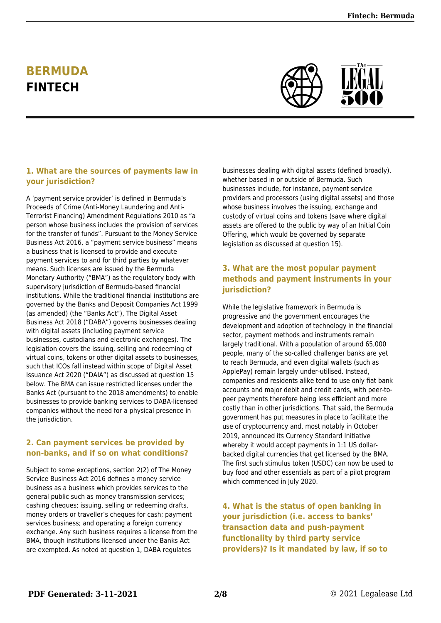# **BERMUDA FINTECH**



#### **1. What are the sources of payments law in your jurisdiction?**

A 'payment service provider' is defined in Bermuda's Proceeds of Crime (Anti-Money Laundering and Anti-Terrorist Financing) Amendment Regulations 2010 as "a person whose business includes the provision of services for the transfer of funds". Pursuant to the Money Service Business Act 2016, a "payment service business" means a business that is licensed to provide and execute payment services to and for third parties by whatever means. Such licenses are issued by the Bermuda Monetary Authority ("BMA") as the regulatory body with supervisory jurisdiction of Bermuda-based financial institutions. While the traditional financial institutions are governed by the Banks and Deposit Companies Act 1999 (as amended) (the "Banks Act"), The Digital Asset Business Act 2018 ("DABA") governs businesses dealing with digital assets (including payment service businesses, custodians and electronic exchanges). The legislation covers the issuing, selling and redeeming of virtual coins, tokens or other digital assets to businesses, such that ICOs fall instead within scope of Digital Asset Issuance Act 2020 ("DAIA") as discussed at question 15 below. The BMA can issue restricted licenses under the Banks Act (pursuant to the 2018 amendments) to enable businesses to provide banking services to DABA-licensed companies without the need for a physical presence in the jurisdiction.

#### **2. Can payment services be provided by non-banks, and if so on what conditions?**

Subject to some exceptions, section 2(2) of The Money Service Business Act 2016 defines a money service business as a business which provides services to the general public such as money transmission services; cashing cheques; issuing, selling or redeeming drafts, money orders or traveller's cheques for cash; payment services business; and operating a foreign currency exchange. Any such business requires a license from the BMA, though institutions licensed under the Banks Act are exempted. As noted at question 1, DABA regulates

businesses dealing with digital assets (defined broadly), whether based in or outside of Bermuda. Such businesses include, for instance, payment service providers and processors (using digital assets) and those whose business involves the issuing, exchange and custody of virtual coins and tokens (save where digital assets are offered to the public by way of an Initial Coin Offering, which would be governed by separate legislation as discussed at question 15).

#### **3. What are the most popular payment methods and payment instruments in your jurisdiction?**

While the legislative framework in Bermuda is progressive and the government encourages the development and adoption of technology in the financial sector, payment methods and instruments remain largely traditional. With a population of around 65,000 people, many of the so-called challenger banks are yet to reach Bermuda, and even digital wallets (such as ApplePay) remain largely under-utilised. Instead, companies and residents alike tend to use only fiat bank accounts and major debit and credit cards, with peer-topeer payments therefore being less efficient and more costly than in other jurisdictions. That said, the Bermuda government has put measures in place to facilitate the use of cryptocurrency and, most notably in October 2019, announced its Currency Standard Initiative whereby it would accept payments in 1:1 US dollarbacked digital currencies that get licensed by the BMA. The first such stimulus token (USDC) can now be used to buy food and other essentials as part of a pilot program which commenced in July 2020.

**4. What is the status of open banking in your jurisdiction (i.e. access to banks' transaction data and push-payment functionality by third party service providers)? Is it mandated by law, if so to**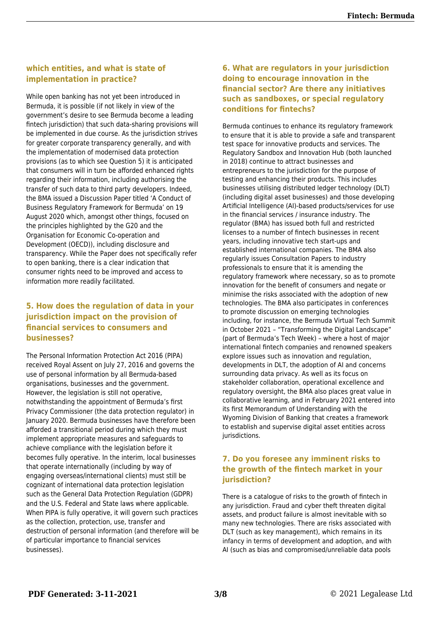#### **which entities, and what is state of implementation in practice?**

While open banking has not yet been introduced in Bermuda, it is possible (if not likely in view of the government's desire to see Bermuda become a leading fintech jurisdiction) that such data-sharing provisions will be implemented in due course. As the jurisdiction strives for greater corporate transparency generally, and with the implementation of modernised data protection provisions (as to which see Question 5) it is anticipated that consumers will in turn be afforded enhanced rights regarding their information, including authorising the transfer of such data to third party developers. Indeed, the BMA issued a Discussion Paper titled 'A Conduct of Business Regulatory Framework for Bermuda' on 19 August 2020 which, amongst other things, focused on the principles highlighted by the G20 and the Organisation for Economic Co-operation and Development (OECD)), including disclosure and transparency. While the Paper does not specifically refer to open banking, there is a clear indication that consumer rights need to be improved and access to information more readily facilitated.

#### **5. How does the regulation of data in your jurisdiction impact on the provision of financial services to consumers and businesses?**

The Personal Information Protection Act 2016 (PIPA) received Royal Assent on July 27, 2016 and governs the use of personal information by all Bermuda-based organisations, businesses and the government. However, the legislation is still not operative, notwithstanding the appointment of Bermuda's first Privacy Commissioner (the data protection regulator) in January 2020. Bermuda businesses have therefore been afforded a transitional period during which they must implement appropriate measures and safeguards to achieve compliance with the legislation before it becomes fully operative. In the interim, local businesses that operate internationally (including by way of engaging overseas/international clients) must still be cognizant of international data protection legislation such as the General Data Protection Regulation (GDPR) and the U.S. Federal and State laws where applicable. When PIPA is fully operative, it will govern such practices as the collection, protection, use, transfer and destruction of personal information (and therefore will be of particular importance to financial services businesses).

#### **6. What are regulators in your jurisdiction doing to encourage innovation in the financial sector? Are there any initiatives such as sandboxes, or special regulatory conditions for fintechs?**

Bermuda continues to enhance its regulatory framework to ensure that it is able to provide a safe and transparent test space for innovative products and services. The Regulatory Sandbox and Innovation Hub (both launched in 2018) continue to attract businesses and entrepreneurs to the jurisdiction for the purpose of testing and enhancing their products. This includes businesses utilising distributed ledger technology (DLT) (including digital asset businesses) and those developing Artificial Intelligence (AI)-based products/services for use in the financial services / insurance industry. The regulator (BMA) has issued both full and restricted licenses to a number of fintech businesses in recent years, including innovative tech start-ups and established international companies. The BMA also regularly issues Consultation Papers to industry professionals to ensure that it is amending the regulatory framework where necessary, so as to promote innovation for the benefit of consumers and negate or minimise the risks associated with the adoption of new technologies. The BMA also participates in conferences to promote discussion on emerging technologies including, for instance, the Bermuda Virtual Tech Summit in October 2021 – "Transforming the Digital Landscape" (part of Bermuda's Tech Week) – where a host of major international fintech companies and renowned speakers explore issues such as innovation and regulation, developments in DLT, the adoption of AI and concerns surrounding data privacy. As well as its focus on stakeholder collaboration, operational excellence and regulatory oversight, the BMA also places great value in collaborative learning, and in February 2021 entered into its first Memorandum of Understanding with the Wyoming Division of Banking that creates a framework to establish and supervise digital asset entities across jurisdictions.

#### **7. Do you foresee any imminent risks to the growth of the fintech market in your jurisdiction?**

There is a catalogue of risks to the growth of fintech in any jurisdiction. Fraud and cyber theft threaten digital assets, and product failure is almost inevitable with so many new technologies. There are risks associated with DLT (such as key management), which remains in its infancy in terms of development and adoption, and with AI (such as bias and compromised/unreliable data pools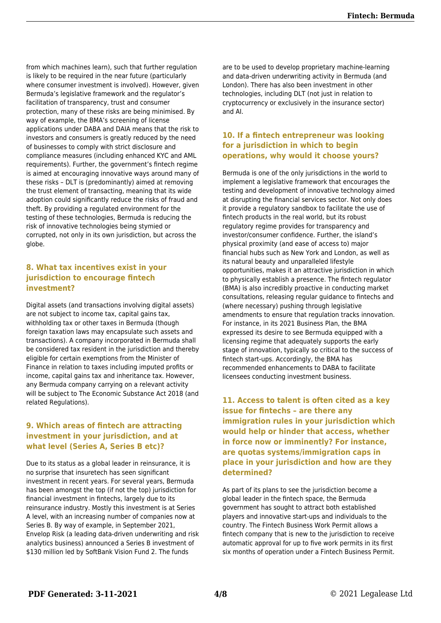from which machines learn), such that further regulation is likely to be required in the near future (particularly where consumer investment is involved). However, given Bermuda's legislative framework and the regulator's facilitation of transparency, trust and consumer protection, many of these risks are being minimised. By way of example, the BMA's screening of license applications under DABA and DAIA means that the risk to investors and consumers is greatly reduced by the need of businesses to comply with strict disclosure and compliance measures (including enhanced KYC and AML requirements). Further, the government's fintech regime is aimed at encouraging innovative ways around many of these risks – DLT is (predominantly) aimed at removing the trust element of transacting, meaning that its wide adoption could significantly reduce the risks of fraud and theft. By providing a regulated environment for the testing of these technologies, Bermuda is reducing the risk of innovative technologies being stymied or corrupted, not only in its own jurisdiction, but across the globe.

#### **8. What tax incentives exist in your jurisdiction to encourage fintech investment?**

Digital assets (and transactions involving digital assets) are not subject to income tax, capital gains tax, withholding tax or other taxes in Bermuda (though foreign taxation laws may encapsulate such assets and transactions). A company incorporated in Bermuda shall be considered tax resident in the jurisdiction and thereby eligible for certain exemptions from the Minister of Finance in relation to taxes including imputed profits or income, capital gains tax and inheritance tax. However, any Bermuda company carrying on a relevant activity will be subject to The Economic Substance Act 2018 (and related Regulations).

#### **9. Which areas of fintech are attracting investment in your jurisdiction, and at what level (Series A, Series B etc)?**

Due to its status as a global leader in reinsurance, it is no surprise that insuretech has seen significant investment in recent years. For several years, Bermuda has been amongst the top (if not the top) jurisdiction for financial investment in fintechs, largely due to its reinsurance industry. Mostly this investment is at Series A level, with an increasing number of companies now at Series B. By way of example, in September 2021, Envelop Risk (a leading data-driven underwriting and risk analytics business) announced a Series B investment of \$130 million led by SoftBank Vision Fund 2. The funds

are to be used to develop proprietary machine-learning and data-driven underwriting activity in Bermuda (and London). There has also been investment in other technologies, including DLT (not just in relation to cryptocurrency or exclusively in the insurance sector) and AI.

#### **10. If a fintech entrepreneur was looking for a jurisdiction in which to begin operations, why would it choose yours?**

Bermuda is one of the only jurisdictions in the world to implement a legislative framework that encourages the testing and development of innovative technology aimed at disrupting the financial services sector. Not only does it provide a regulatory sandbox to facilitate the use of fintech products in the real world, but its robust regulatory regime provides for transparency and investor/consumer confidence. Further, the island's physical proximity (and ease of access to) major financial hubs such as New York and London, as well as its natural beauty and unparalleled lifestyle opportunities, makes it an attractive jurisdiction in which to physically establish a presence. The fintech regulator (BMA) is also incredibly proactive in conducting market consultations, releasing regular guidance to fintechs and (where necessary) pushing through legislative amendments to ensure that regulation tracks innovation. For instance, in its 2021 Business Plan, the BMA expressed its desire to see Bermuda equipped with a licensing regime that adequately supports the early stage of innovation, typically so critical to the success of fintech start-ups. Accordingly, the BMA has recommended enhancements to DABA to facilitate licensees conducting investment business.

#### **11. Access to talent is often cited as a key issue for fintechs – are there any immigration rules in your jurisdiction which would help or hinder that access, whether in force now or imminently? For instance, are quotas systems/immigration caps in place in your jurisdiction and how are they determined?**

As part of its plans to see the jurisdiction become a global leader in the fintech space, the Bermuda government has sought to attract both established players and innovative start-ups and individuals to the country. The Fintech Business Work Permit allows a fintech company that is new to the jurisdiction to receive automatic approval for up to five work permits in its first six months of operation under a Fintech Business Permit.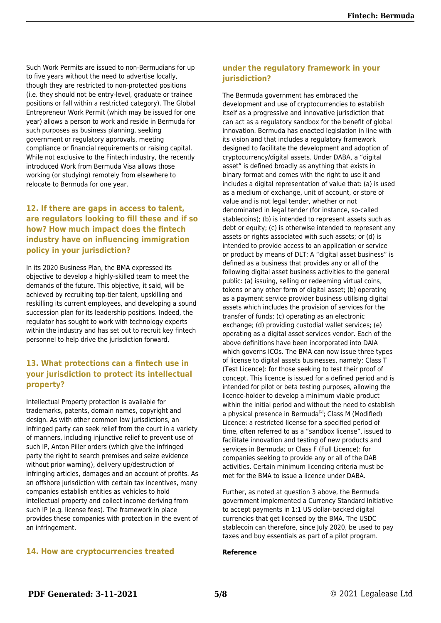Such Work Permits are issued to non-Bermudians for up to five years without the need to advertise locally, though they are restricted to non-protected positions (i.e. they should not be entry-level, graduate or trainee positions or fall within a restricted category). The Global Entrepreneur Work Permit (which may be issued for one year) allows a person to work and reside in Bermuda for such purposes as business planning, seeking government or regulatory approvals, meeting compliance or financial requirements or raising capital. While not exclusive to the Fintech industry, the recently introduced Work from Bermuda Visa allows those working (or studying) remotely from elsewhere to relocate to Bermuda for one year.

#### **12. If there are gaps in access to talent, are regulators looking to fill these and if so how? How much impact does the fintech industry have on influencing immigration policy in your jurisdiction?**

In its 2020 Business Plan, the BMA expressed its objective to develop a highly-skilled team to meet the demands of the future. This objective, it said, will be achieved by recruiting top-tier talent, upskilling and reskilling its current employees, and developing a sound succession plan for its leadership positions. Indeed, the regulator has sought to work with technology experts within the industry and has set out to recruit key fintech personnel to help drive the jurisdiction forward.

#### **13. What protections can a fintech use in your jurisdiction to protect its intellectual property?**

Intellectual Property protection is available for trademarks, patents, domain names, copyright and design. As with other common law jurisdictions, an infringed party can seek relief from the court in a variety of manners, including injunctive relief to prevent use of such IP, Anton Piller orders (which give the infringed party the right to search premises and seize evidence without prior warning), delivery up/destruction of infringing articles, damages and an account of profits. As an offshore jurisdiction with certain tax incentives, many companies establish entities as vehicles to hold intellectual property and collect income deriving from such IP (e.g. license fees). The framework in place provides these companies with protection in the event of an infringement.

### **under the regulatory framework in your jurisdiction?**

The Bermuda government has embraced the development and use of cryptocurrencies to establish itself as a progressive and innovative jurisdiction that can act as a regulatory sandbox for the benefit of global innovation. Bermuda has enacted legislation in line with its vision and that includes a regulatory framework designed to facilitate the development and adoption of cryptocurrency/digital assets. Under DABA, a "digital asset" is defined broadly as anything that exists in binary format and comes with the right to use it and includes a digital representation of value that: (a) is used as a medium of exchange, unit of account, or store of value and is not legal tender, whether or not denominated in legal tender (for instance, so-called stablecoins); (b) is intended to represent assets such as debt or equity; (c) is otherwise intended to represent any assets or rights associated with such assets; or (d) is intended to provide access to an application or service or product by means of DLT; A "digital asset business" is defined as a business that provides any or all of the following digital asset business activities to the general public: (a) issuing, selling or redeeming virtual coins, tokens or any other form of digital asset; (b) operating as a payment service provider business utilising digital assets which includes the provision of services for the transfer of funds; (c) operating as an electronic exchange; (d) providing custodial wallet services; (e) operating as a digital asset services vendor. Each of the above definitions have been incorporated into DAIA which governs ICOs. The BMA can now issue three types of license to digital assets businesses, namely: Class T (Test Licence): for those seeking to test their proof of concept. This licence is issued for a defined period and is intended for pilot or beta testing purposes, allowing the licence-holder to develop a minimum viable product within the initial period and without the need to establish a physical presence in Bermuda<sup>[1]</sup>; Class M (Modified) Licence: a restricted license for a specified period of time, often referred to as a "sandbox license", issued to facilitate innovation and testing of new products and services in Bermuda; or Class F (Full Licence): for companies seeking to provide any or all of the DAB activities. Certain minimum licencing criteria must be met for the BMA to issue a licence under DABA.

Further, as noted at question 3 above, the Bermuda government implemented a Currency Standard Initiative to accept payments in 1:1 US dollar-backed digital currencies that get licensed by the BMA. The USDC stablecoin can therefore, since July 2020, be used to pay taxes and buy essentials as part of a pilot program.

#### **14. How are cryptocurrencies treated**

#### **Reference**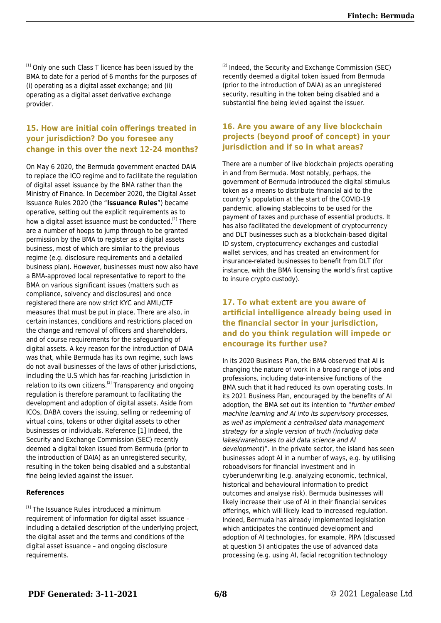[1] Only one such Class T licence has been issued by the BMA to date for a period of 6 months for the purposes of (i) operating as a digital asset exchange; and (ii) operating as a digital asset derivative exchange provider.

#### **15. How are initial coin offerings treated in your jurisdiction? Do you foresee any change in this over the next 12-24 months?**

On May 6 2020, the Bermuda government enacted DAIA to replace the ICO regime and to facilitate the regulation of digital asset issuance by the BMA rather than the Ministry of Finance. In December 2020, the Digital Asset Issuance Rules 2020 (the "**Issuance Rules**") became operative, setting out the explicit requirements as to how a digital asset issuance must be conducted.<sup>[1]</sup> There are a number of hoops to jump through to be granted permission by the BMA to register as a digital assets business, most of which are similar to the previous regime (e.g. disclosure requirements and a detailed business plan). However, businesses must now also have a BMA-approved local representative to report to the BMA on various significant issues (matters such as compliance, solvency and disclosures) and once registered there are now strict KYC and AML/CTF measures that must be put in place. There are also, in certain instances, conditions and restrictions placed on the change and removal of officers and shareholders, and of course requirements for the safeguarding of digital assets. A key reason for the introduction of DAIA was that, while Bermuda has its own regime, such laws do not avail businesses of the laws of other jurisdictions, including the U.S which has far-reaching jurisdiction in relation to its own citizens.<sup>[2]</sup> Transparency and ongoing regulation is therefore paramount to facilitating the development and adoption of digital assets. Aside from ICOs, DABA covers the issuing, selling or redeeming of virtual coins, tokens or other digital assets to other businesses or individuals. Reference [1] Indeed, the Security and Exchange Commission (SEC) recently deemed a digital token issued from Bermuda (prior to the introduction of DAIA) as an unregistered security, resulting in the token being disabled and a substantial fine being levied against the issuer.

#### **References**

<sup>[1]</sup> The Issuance Rules introduced a minimum requirement of information for digital asset issuance – including a detailed description of the underlying project, the digital asset and the terms and conditions of the digital asset issuance – and ongoing disclosure requirements.

<sup>[2]</sup> Indeed, the Security and Exchange Commission (SEC) recently deemed a digital token issued from Bermuda (prior to the introduction of DAIA) as an unregistered security, resulting in the token being disabled and a substantial fine being levied against the issuer.

#### **16. Are you aware of any live blockchain projects (beyond proof of concept) in your jurisdiction and if so in what areas?**

There are a number of live blockchain projects operating in and from Bermuda. Most notably, perhaps, the government of Bermuda introduced the digital stimulus token as a means to distribute financial aid to the country's population at the start of the COVID-19 pandemic, allowing stablecoins to be used for the payment of taxes and purchase of essential products. It has also facilitated the development of cryptocurrency and DLT businesses such as a blockchain-based digital ID system, cryptocurrency exchanges and custodial wallet services, and has created an environment for insurance-related businesses to benefit from DLT (for instance, with the BMA licensing the world's first captive to insure crypto custody).

#### **17. To what extent are you aware of artificial intelligence already being used in the financial sector in your jurisdiction, and do you think regulation will impede or encourage its further use?**

In its 2020 Business Plan, the BMA observed that AI is changing the nature of work in a broad range of jobs and professions, including data-intensive functions of the BMA such that it had reduced its own operating costs. In its 2021 Business Plan, encouraged by the benefits of AI adoption, the BMA set out its intention to "further embed machine learning and AI into its supervisory processes, as well as implement a centralised data management strategy for a single version of truth (including data lakes/warehouses to aid data science and AI development)". In the private sector, the island has seen businesses adopt AI in a number of ways, e.g. by utilising roboadvisors for financial investment and in cyberunderwriting (e.g. analyzing economic, technical, historical and behavioural information to predict outcomes and analyse risk). Bermuda businesses will likely increase their use of AI in their financial services offerings, which will likely lead to increased regulation. Indeed, Bermuda has already implemented legislation which anticipates the continued development and adoption of AI technologies, for example, PIPA (discussed at question 5) anticipates the use of advanced data processing (e.g. using AI, facial recognition technology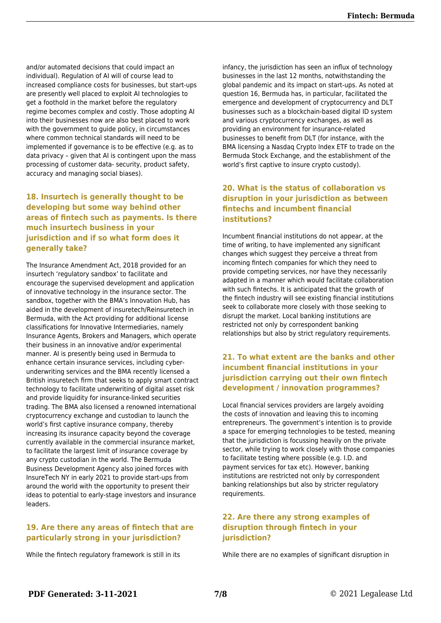and/or automated decisions that could impact an individual). Regulation of AI will of course lead to increased compliance costs for businesses, but start-ups are presently well placed to exploit AI technologies to get a foothold in the market before the regulatory regime becomes complex and costly. Those adopting AI into their businesses now are also best placed to work with the government to guide policy, in circumstances where common technical standards will need to be implemented if governance is to be effective (e.g. as to data privacy – given that AI is contingent upon the mass processing of customer data- security, product safety, accuracy and managing social biases).

#### **18. Insurtech is generally thought to be developing but some way behind other areas of fintech such as payments. Is there much insurtech business in your jurisdiction and if so what form does it generally take?**

The Insurance Amendment Act, 2018 provided for an insurtech 'regulatory sandbox' to facilitate and encourage the supervised development and application of innovative technology in the insurance sector. The sandbox, together with the BMA's Innovation Hub, has aided in the development of insuretech/Reinsuretech in Bermuda, with the Act providing for additional license classifications for Innovative Intermediaries, namely Insurance Agents, Brokers and Managers, which operate their business in an innovative and/or experimental manner. AI is presently being used in Bermuda to enhance certain insurance services, including cyberunderwriting services and the BMA recently licensed a British insuretech firm that seeks to apply smart contract technology to facilitate underwriting of digital asset risk and provide liquidity for insurance-linked securities trading. The BMA also licensed a renowned international cryptocurrency exchange and custodian to launch the world's first captive insurance company, thereby increasing its insurance capacity beyond the coverage currently available in the commercial insurance market, to facilitate the largest limit of insurance coverage by any crypto custodian in the world. The Bermuda Business Development Agency also joined forces with InsureTech NY in early 2021 to provide start-ups from around the world with the opportunity to present their ideas to potential to early-stage investors and insurance leaders.

#### **19. Are there any areas of fintech that are particularly strong in your jurisdiction?**

While the fintech regulatory framework is still in its

infancy, the jurisdiction has seen an influx of technology businesses in the last 12 months, notwithstanding the global pandemic and its impact on start-ups. As noted at question 16, Bermuda has, in particular, facilitated the emergence and development of cryptocurrency and DLT businesses such as a blockchain-based digital ID system and various cryptocurrency exchanges, as well as providing an environment for insurance-related businesses to benefit from DLT (for instance, with the BMA licensing a Nasdaq Crypto Index ETF to trade on the Bermuda Stock Exchange, and the establishment of the world's first captive to insure crypto custody).

#### **20. What is the status of collaboration vs disruption in your jurisdiction as between fintechs and incumbent financial institutions?**

Incumbent financial institutions do not appear, at the time of writing, to have implemented any significant changes which suggest they perceive a threat from incoming fintech companies for which they need to provide competing services, nor have they necessarily adapted in a manner which would facilitate collaboration with such fintechs. It is anticipated that the growth of the fintech industry will see existing financial institutions seek to collaborate more closely with those seeking to disrupt the market. Local banking institutions are restricted not only by correspondent banking relationships but also by strict regulatory requirements.

#### **21. To what extent are the banks and other incumbent financial institutions in your jurisdiction carrying out their own fintech development / innovation programmes?**

Local financial services providers are largely avoiding the costs of innovation and leaving this to incoming entrepreneurs. The government's intention is to provide a space for emerging technologies to be tested, meaning that the jurisdiction is focussing heavily on the private sector, while trying to work closely with those companies to facilitate testing where possible (e.g. I.D. and payment services for tax etc). However, banking institutions are restricted not only by correspondent banking relationships but also by stricter regulatory requirements.

#### **22. Are there any strong examples of disruption through fintech in your jurisdiction?**

While there are no examples of significant disruption in